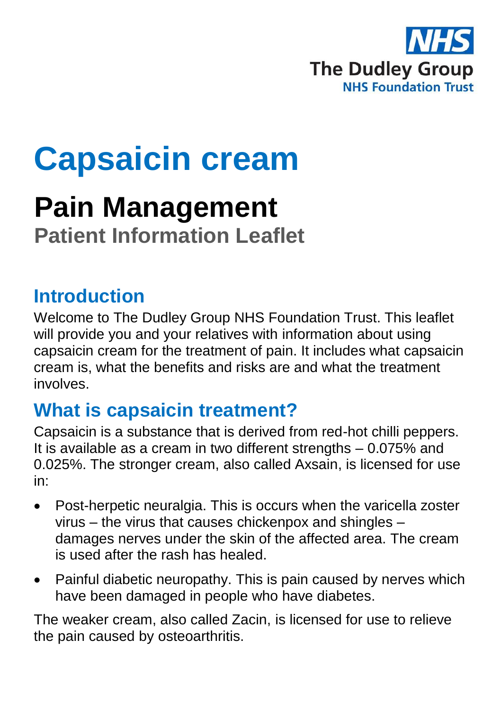

# **Capsaicin cream**

# **Pain Management Patient Information Leaflet**

#### **Introduction**

Welcome to The Dudley Group NHS Foundation Trust. This leaflet will provide you and your relatives with information about using capsaicin cream for the treatment of pain. It includes what capsaicin cream is, what the benefits and risks are and what the treatment involves.

#### **What is capsaicin treatment?**

Capsaicin is a substance that is derived from red-hot chilli peppers. It is available as a cream in two different strengths – 0.075% and 0.025%. The stronger cream, also called Axsain, is licensed for use in:

- Post-herpetic neuralgia. This is occurs when the varicella zoster virus – the virus that causes chickenpox and shingles – damages nerves under the skin of the affected area. The cream is used after the rash has healed.
- Painful diabetic neuropathy. This is pain caused by nerves which have been damaged in people who have diabetes.

The weaker cream, also called Zacin, is licensed for use to relieve the pain caused by osteoarthritis.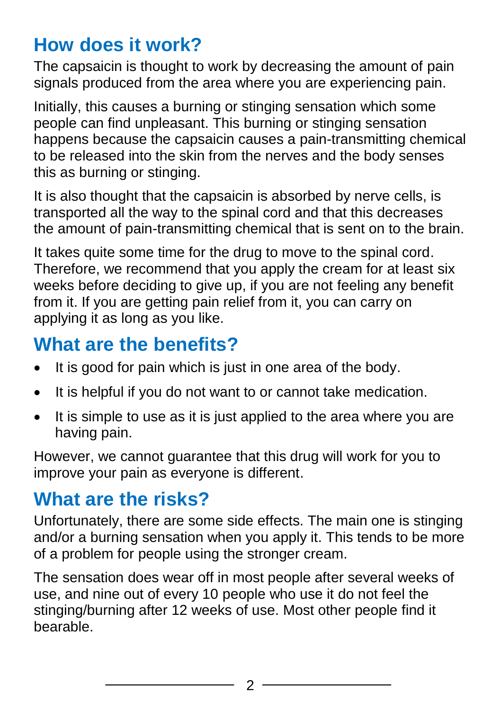### **How does it work?**

The capsaicin is thought to work by decreasing the amount of pain signals produced from the area where you are experiencing pain.

Initially, this causes a burning or stinging sensation which some people can find unpleasant. This burning or stinging sensation happens because the capsaicin causes a pain-transmitting chemical to be released into the skin from the nerves and the body senses this as burning or stinging.

It is also thought that the capsaicin is absorbed by nerve cells, is transported all the way to the spinal cord and that this decreases the amount of pain-transmitting chemical that is sent on to the brain.

It takes quite some time for the drug to move to the spinal cord. Therefore, we recommend that you apply the cream for at least six weeks before deciding to give up, if you are not feeling any benefit from it. If you are getting pain relief from it, you can carry on applying it as long as you like.

# **What are the benefits?**

- It is good for pain which is just in one area of the body.
- It is helpful if you do not want to or cannot take medication.
- $\bullet$  It is simple to use as it is just applied to the area where you are having pain.

However, we cannot guarantee that this drug will work for you to improve your pain as everyone is different.

#### **What are the risks?**

Unfortunately, there are some side effects. The main one is stinging and/or a burning sensation when you apply it. This tends to be more of a problem for people using the stronger cream.

The sensation does wear off in most people after several weeks of use, and nine out of every 10 people who use it do not feel the stinging/burning after 12 weeks of use. Most other people find it bearable.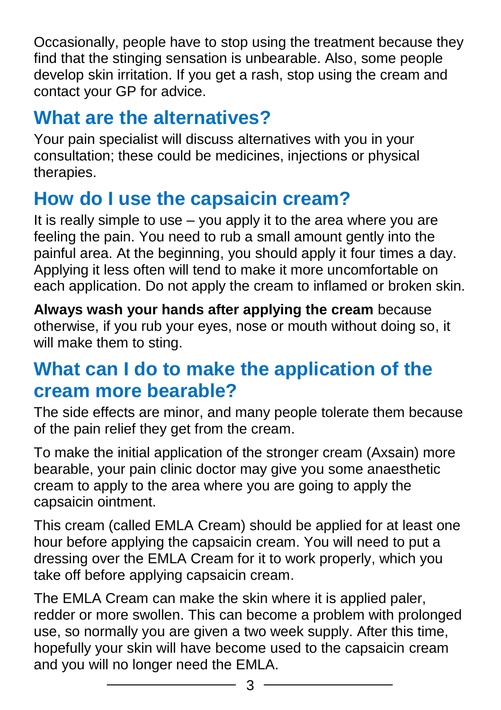Occasionally, people have to stop using the treatment because they find that the stinging sensation is unbearable. Also, some people develop skin irritation. If you get a rash, stop using the cream and contact your GP for advice.

# **What are the alternatives?**

Your pain specialist will discuss alternatives with you in your consultation; these could be medicines, injections or physical therapies.

# **How do I use the capsaicin cream?**

It is really simple to use – you apply it to the area where you are feeling the pain. You need to rub a small amount gently into the painful area. At the beginning, you should apply it four times a day. Applying it less often will tend to make it more uncomfortable on each application. Do not apply the cream to inflamed or broken skin.

**Always wash your hands after applying the cream** because otherwise, if you rub your eyes, nose or mouth without doing so, it will make them to sting.

#### **What can I do to make the application of the cream more bearable?**

The side effects are minor, and many people tolerate them because of the pain relief they get from the cream.

To make the initial application of the stronger cream (Axsain) more bearable, your pain clinic doctor may give you some anaesthetic cream to apply to the area where you are going to apply the capsaicin ointment.

This cream (called EMLA Cream) should be applied for at least one hour before applying the capsaicin cream. You will need to put a dressing over the EMLA Cream for it to work properly, which you take off before applying capsaicin cream.

The EMLA Cream can make the skin where it is applied paler, redder or more swollen. This can become a problem with prolonged use, so normally you are given a two week supply. After this time, hopefully your skin will have become used to the capsaicin cream and you will no longer need the EMLA.